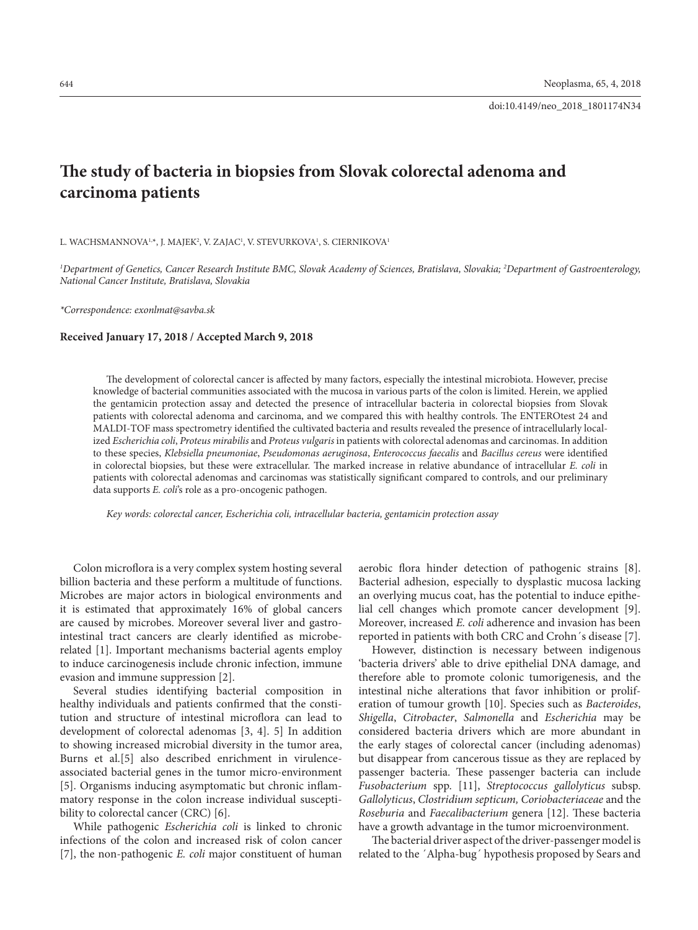# **The study of bacteria in biopsies from Slovak colorectal adenoma and carcinoma patients**

L. WACHSMANNOVA1\*, J. MAJEK<sup>2</sup>, V. ZAJAC<sup>1</sup>, V. STEVURKOVA<sup>1</sup>, S. CIERNIKOVA<sup>1</sup>

*1 Department of Genetics, Cancer Research Institute BMC, Slovak Academy of Sciences, Bratislava, Slovakia; 2 Department of Gastroenterology, National Cancer Institute, Bratislava, Slovakia* 

*\*Correspondence: exonlmat@savba.sk* 

#### **Received January 17, 2018 / Accepted March 9, 2018**

The development of colorectal cancer is affected by many factors, especially the intestinal microbiota. However, precise knowledge of bacterial communities associated with the mucosa in various parts of the colon is limited. Herein, we applied the gentamicin protection assay and detected the presence of intracellular bacteria in colorectal biopsies from Slovak patients with colorectal adenoma and carcinoma, and we compared this with healthy controls. The ENTEROtest 24 and MALDI-TOF mass spectrometry identified the cultivated bacteria and results revealed the presence of intracellularly localized *Escherichia coli*, *Proteus mirabilis* and *Proteus vulgaris* in patients with colorectal adenomas and carcinomas. In addition to these species, *Klebsiella pneumoniae*, *Pseudomonas aeruginosa*, *Enterococcus faecalis* and *Bacillus cereus* were identified in colorectal biopsies, but these were extracellular. The marked increase in relative abundance of intracellular *E. coli* in patients with colorectal adenomas and carcinomas was statistically significant compared to controls, and our preliminary data supports *E. coli*'s role as a pro-oncogenic pathogen.

*Key words: colorectal cancer, Escherichia coli, intracellular bacteria, gentamicin protection assay*

Colon microflora is a very complex system hosting several billion bacteria and these perform a multitude of functions. Microbes are major actors in biological environments and it is estimated that approximately 16% of global cancers are caused by microbes. Moreover several liver and gastrointestinal tract cancers are clearly identified as microberelated [1]. Important mechanisms bacterial agents employ to induce carcinogenesis include chronic infection, immune evasion and immune suppression [2].

Several studies identifying bacterial composition in healthy individuals and patients confirmed that the constitution and structure of intestinal microflora can lead to development of colorectal adenomas [3, 4]. 5] In addition to showing increased microbial diversity in the tumor area, Burns et al.[5] also described enrichment in virulenceassociated bacterial genes in the tumor micro-environment [5]. Organisms inducing asymptomatic but chronic inflammatory response in the colon increase individual susceptibility to colorectal cancer (CRC) [6].

While pathogenic *Escherichia coli* is linked to chronic infections of the colon and increased risk of colon cancer [7], the non-pathogenic *E. coli* major constituent of human aerobic flora hinder detection of pathogenic strains [8]. Bacterial adhesion, especially to dysplastic mucosa lacking an overlying mucus coat, has the potential to induce epithelial cell changes which promote cancer development [9]. Moreover, increased *E. coli* adherence and invasion has been reported in patients with both CRC and Crohn´s disease [7].

However, distinction is necessary between indigenous 'bacteria drivers' able to drive epithelial DNA damage, and therefore able to promote colonic tumorigenesis, and the intestinal niche alterations that favor inhibition or proliferation of tumour growth [10]. Species such as *Bacteroides*, *Shigella*, *Citrobacter*, *Salmonella* and *Escherichia* may be considered bacteria drivers which are more abundant in the early stages of colorectal cancer (including adenomas) but disappear from cancerous tissue as they are replaced by passenger bacteria. These passenger bacteria can include *Fusobacterium* spp. [11], *Streptococcus gallolyticus* subsp. *Gallolyticus*, *Clostridium septicum, Coriobacteriaceae* and the *Roseburia* and *Faecalibacterium* genera [12]. These bacteria have a growth advantage in the tumor microenvironment.

The bacterial driver aspect of the driver-passenger model is related to the ´Alpha-bug´ hypothesis proposed by Sears and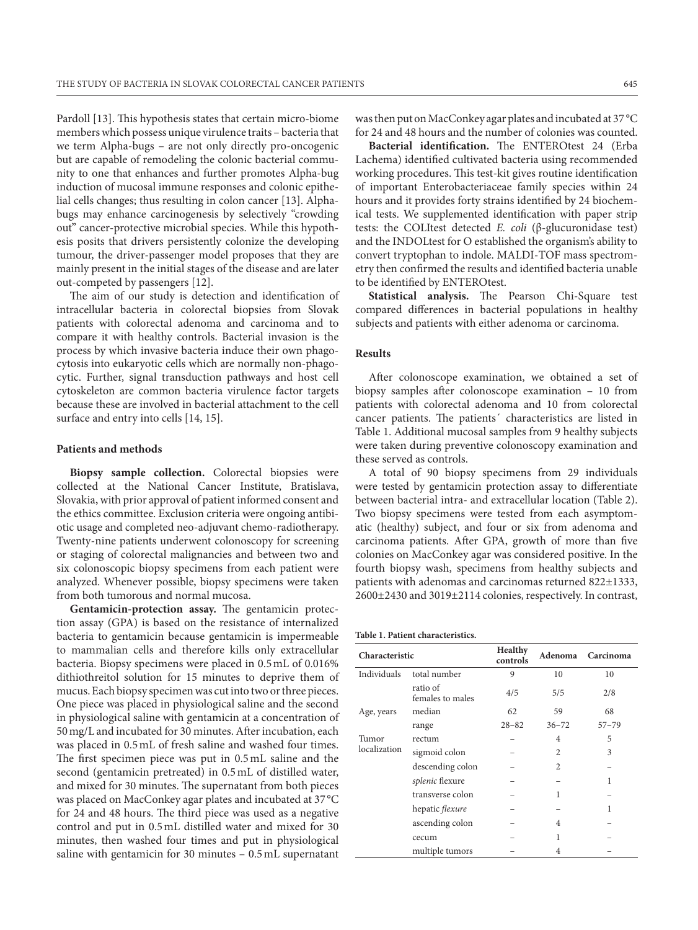Pardoll [13]. This hypothesis states that certain micro-biome members which possess unique virulence traits – bacteria that we term Alpha-bugs – are not only directly pro-oncogenic but are capable of remodeling the colonic bacterial community to one that enhances and further promotes Alpha-bug induction of mucosal immune responses and colonic epithelial cells changes; thus resulting in colon cancer [13]. Alphabugs may enhance carcinogenesis by selectively "crowding out" cancer-protective microbial species. While this hypothesis posits that drivers persistently colonize the developing tumour, the driver-passenger model proposes that they are mainly present in the initial stages of the disease and are later out-competed by passengers [12].

The aim of our study is detection and identification of intracellular bacteria in colorectal biopsies from Slovak patients with colorectal adenoma and carcinoma and to compare it with healthy controls. Bacterial invasion is the process by which invasive bacteria induce their own phagocytosis into eukaryotic cells which are normally non-phagocytic. Further, signal transduction pathways and host cell cytoskeleton are common bacteria virulence factor targets because these are involved in bacterial attachment to the cell surface and entry into cells [14, 15].

#### **Patients and methods**

**Biopsy sample collection.** Colorectal biopsies were collected at the National Cancer Institute, Bratislava, Slovakia, with prior approval of patient informed consent and the ethics committee. Exclusion criteria were ongoing antibiotic usage and completed neo-adjuvant chemo-radiotherapy. Twenty-nine patients underwent colonoscopy for screening or staging of colorectal malignancies and between two and six colonoscopic biopsy specimens from each patient were analyzed. Whenever possible, biopsy specimens were taken from both tumorous and normal mucosa.

**Gentamicin-protection assay.** The gentamicin protection assay (GPA) is based on the resistance of internalized bacteria to gentamicin because gentamicin is impermeable to mammalian cells and therefore kills only extracellular bacteria. Biopsy specimens were placed in 0.5mL of 0.016% dithiothreitol solution for 15 minutes to deprive them of mucus. Each biopsy specimen was cut into two or three pieces. One piece was placed in physiological saline and the second in physiological saline with gentamicin at a concentration of 50mg/L and incubated for 30 minutes. After incubation, each was placed in 0.5mL of fresh saline and washed four times. The first specimen piece was put in 0.5mL saline and the second (gentamicin pretreated) in 0.5mL of distilled water, and mixed for 30 minutes. The supernatant from both pieces was placed on MacConkey agar plates and incubated at 37 °C for 24 and 48 hours. The third piece was used as a negative control and put in 0.5mL distilled water and mixed for 30 minutes, then washed four times and put in physiological saline with gentamicin for 30 minutes – 0.5mL supernatant

was then put on MacConkey agar plates and incubated at 37 °C for 24 and 48 hours and the number of colonies was counted.

**Bacterial identification.** The ENTEROtest 24 (Erba Lachema) identified cultivated bacteria using recommended working procedures. This test-kit gives routine identification of important Enterobacteriaceae family species within 24 hours and it provides forty strains identified by 24 biochemical tests. We supplemented identification with paper strip tests: the COLItest detected *E. coli* (β-glucuronidase test) and the INDOLtest for O established the organism's ability to convert tryptophan to indole. MALDI-TOF mass spectrometry then confirmed the results and identified bacteria unable to be identified by ENTEROtest.

**Statistical analysis.** The Pearson Chi-Square test compared differences in bacterial populations in healthy subjects and patients with either adenoma or carcinoma.

## **Results**

After colonoscope examination, we obtained a set of biopsy samples after colonoscope examination – 10 from patients with colorectal adenoma and 10 from colorectal cancer patients. The patients´ characteristics are listed in Table 1. Additional mucosal samples from 9 healthy subjects were taken during preventive colonoscopy examination and these served as controls.

A total of 90 biopsy specimens from 29 individuals were tested by gentamicin protection assay to differentiate between bacterial intra- and extracellular location (Table 2). Two biopsy specimens were tested from each asymptomatic (healthy) subject, and four or six from adenoma and carcinoma patients. After GPA, growth of more than five colonies on MacConkey agar was considered positive. In the fourth biopsy wash, specimens from healthy subjects and patients with adenomas and carcinomas returned 822±1333, 2600±2430 and 3019±2114 colonies, respectively. In contrast,

| Table 1. Patient characteristics. |  |
|-----------------------------------|--|
|-----------------------------------|--|

| Characteristic        |                              | <b>Healthy</b><br>controls | Adenoma        | Carcinoma |
|-----------------------|------------------------------|----------------------------|----------------|-----------|
| Individuals           | total number                 | 9                          | 10             | 10        |
|                       | ratio of<br>females to males | 4/5                        | 5/5            | 2/8       |
| Age, years            | median                       | 62                         | 59             | 68        |
|                       | range                        | $28 - 82$                  | $36 - 72$      | $57 - 79$ |
| Tumor<br>localization | rectum                       |                            | 4              | 5         |
|                       | sigmoid colon                |                            | $\overline{c}$ | 3         |
|                       | descending colon             |                            | $\mathfrak{D}$ |           |
|                       | splenic flexure              |                            |                | 1         |
|                       | transverse colon             |                            | 1              |           |
|                       | hepatic flexure              |                            |                | 1         |
|                       | ascending colon              |                            | 4              |           |
|                       | cecum                        |                            | 1              |           |
|                       | multiple tumors              |                            | 4              |           |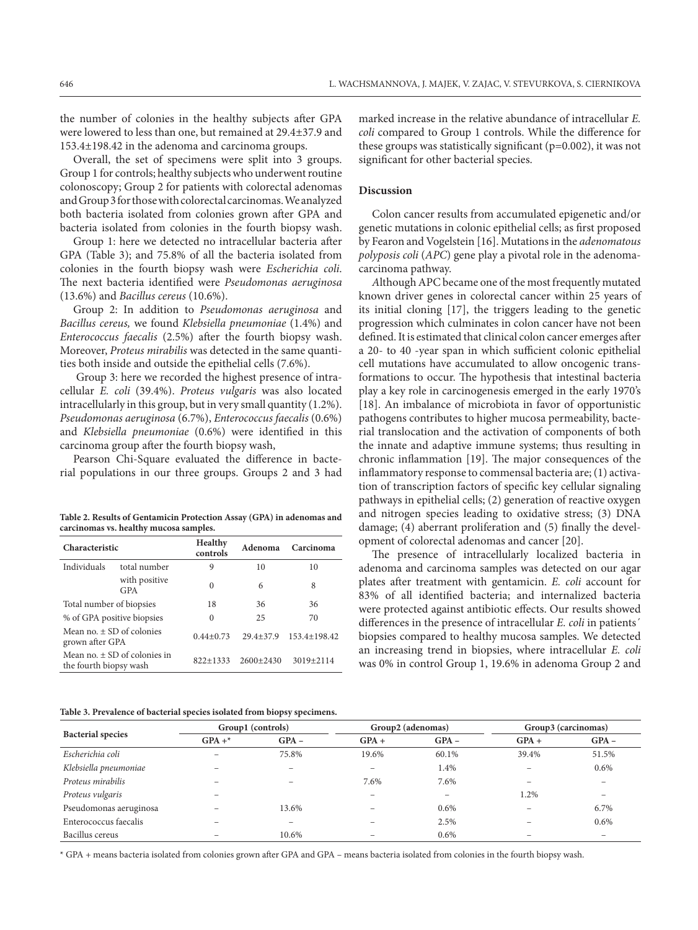the number of colonies in the healthy subjects after GPA were lowered to less than one, but remained at 29.4±37.9 and 153.4±198.42 in the adenoma and carcinoma groups.

Overall, the set of specimens were split into 3 groups. Group 1 for controls; healthy subjects who underwent routine colonoscopy; Group 2 for patients with colorectal adenomas and Group 3 for those with colorectal carcinomas. We analyzed both bacteria isolated from colonies grown after GPA and bacteria isolated from colonies in the fourth biopsy wash.

Group 1: here we detected no intracellular bacteria after GPA (Table 3); and 75.8% of all the bacteria isolated from colonies in the fourth biopsy wash were *Escherichia coli*. The next bacteria identified were *Pseudomonas aeruginosa*  (13.6%) and *Bacillus cereus* (10.6%).

Group 2: In addition to *Pseudomonas aeruginosa* and *Bacillus cereus,* we found *Klebsiella pneumoniae* (1.4%) and *Enterococcus faecalis* (2.5%) after the fourth biopsy wash. Moreover, *Proteus mirabilis* was detected in the same quantities both inside and outside the epithelial cells (7.6%).

 Group 3: here we recorded the highest presence of intracellular *E. coli* (39.4%). *Proteus vulgaris* was also located intracellularly in this group, but in very small quantity (1.2%). *Pseudomonas aeruginosa* (6.7%), *Enterococcus faecalis* (0.6%) and *Klebsiella pneumoniae* (0.6%) were identified in this carcinoma group after the fourth biopsy wash,

Pearson Chi-Square evaluated the difference in bacterial populations in our three groups. Groups 2 and 3 had

**Table 2. Results of Gentamicin Protection Assay (GPA) in adenomas and carcinomas vs. healthy mucosa samples.**

| Characteristic                                             |                             | Healthy<br>controls | Adenoma       | Carcinoma        |  |
|------------------------------------------------------------|-----------------------------|---------------------|---------------|------------------|--|
| Individuals                                                | total number                | 9                   | 10            | 10               |  |
|                                                            | with positive<br><b>GPA</b> | $\Omega$            | 6             | 8                |  |
| Total number of biopsies                                   |                             | 18                  | 36            | 36               |  |
| % of GPA positive biopsies                                 |                             | $\Omega$            | 25            | 70               |  |
| Mean no. $\pm$ SD of colonies<br>grown after GPA           |                             | $0.44 + 0.73$       | $29.4 + 37.9$ | $153.4 + 198.42$ |  |
| Mean no. $\pm$ SD of colonies in<br>the fourth biopsy wash |                             | $822+1333$          | $2600+2430$   | $3019 + 2114$    |  |

**Table 3. Prevalence of bacterial species isolated from biopsy specimens.** 

marked increase in the relative abundance of intracellular *E. coli* compared to Group 1 controls. While the difference for these groups was statistically significant  $(p=0.002)$ , it was not significant for other bacterial species.

# **Discussion**

Colon cancer results from accumulated epigenetic and/or genetic mutations in colonic epithelial cells; as first proposed by Fearon and Vogelstein [16]. Mutations in the *adenomatous polyposis coli* (*APC*) gene play a pivotal role in the adenomacarcinoma pathway.

*A*lthough APC became one of the most frequently mutated known driver genes in colorectal cancer within 25 years of its initial cloning [17], the triggers leading to the genetic progression which culminates in colon cancer have not been defined. It is estimated that clinical colon cancer emerges after a 20- to 40 -year span in which sufficient colonic epithelial cell mutations have accumulated to allow oncogenic transformations to occur. The hypothesis that intestinal bacteria play a key role in carcinogenesis emerged in the early 1970's [18]. An imbalance of microbiota in favor of opportunistic pathogens contributes to higher mucosa permeability, bacterial translocation and the activation of components of both the innate and adaptive immune systems; thus resulting in chronic inflammation [19]. The major consequences of the inflammatory response to commensal bacteria are; (1) activation of transcription factors of specific key cellular signaling pathways in epithelial cells; (2) generation of reactive oxygen and nitrogen species leading to oxidative stress; (3) DNA damage; (4) aberrant proliferation and (5) finally the development of colorectal adenomas and cancer [20].

The presence of intracellularly localized bacteria in adenoma and carcinoma samples was detected on our agar plates after treatment with gentamicin. *E. coli* account for 83% of all identified bacteria; and internalized bacteria were protected against antibiotic effects. Our results showed differences in the presence of intracellular *E. coli* in patients´ biopsies compared to healthy mucosa samples. We detected an increasing trend in biopsies, where intracellular *E. coli* was 0% in control Group 1, 19.6% in adenoma Group 2 and

| <b>Bacterial species</b> | Group1 (controls) |                          | Group2 (adenomas) |         | Group3 (carcinomas) |                          |
|--------------------------|-------------------|--------------------------|-------------------|---------|---------------------|--------------------------|
|                          | $GPA +$ *         | $GPA -$                  | $GPA +$           | $GPA -$ | $GPA +$             | $GPA -$                  |
| Escherichia coli         |                   | 75.8%                    | 19.6%             | 60.1%   | 39.4%               | 51.5%                    |
| Klebsiella pneumoniae    |                   | -                        | -                 | 1.4%    | -                   | 0.6%                     |
| Proteus mirabilis        |                   |                          | 7.6%              | 7.6%    |                     |                          |
| Proteus vulgaris         |                   |                          |                   |         | 1.2%                |                          |
| Pseudomonas aeruginosa   |                   | 13.6%                    |                   | $0.6\%$ | -                   | 6.7%                     |
| Enterococcus faecalis    |                   | $\overline{\phantom{a}}$ |                   | 2.5%    |                     | 0.6%                     |
| Bacillus cereus          |                   | 10.6%                    |                   | 0.6%    |                     | $\overline{\phantom{a}}$ |

\* GPA + means bacteria isolated from colonies grown after GPA and GPA – means bacteria isolated from colonies in the fourth biopsy wash.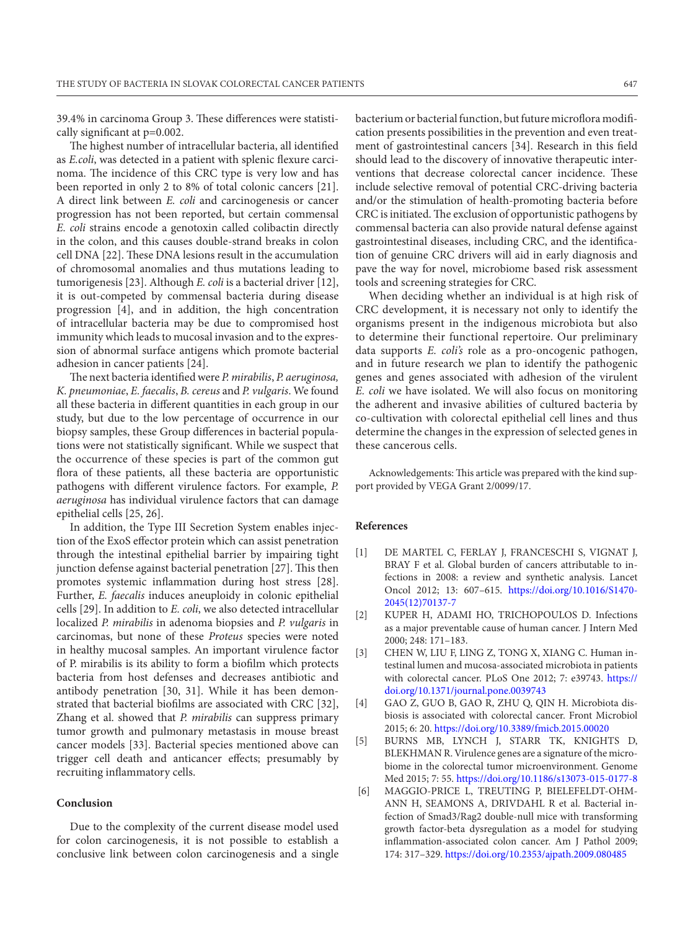39.4% in carcinoma Group 3. These differences were statistically significant at p=0.002.

The highest number of intracellular bacteria, all identified as *E.coli*, was detected in a patient with splenic flexure carcinoma. The incidence of this CRC type is very low and has been reported in only 2 to 8% of total colonic cancers [21]. A direct link between *E. coli* and carcinogenesis or cancer progression has not been reported, but certain commensal *E. coli* strains encode a genotoxin called colibactin directly in the colon, and this causes double-strand breaks in colon cell DNA [22]. These DNA lesions result in the accumulation of chromosomal anomalies and thus mutations leading to tumorigenesis [23]. Although *E. coli* is a bacterial driver [12], it is out-competed by commensal bacteria during disease progression [4], and in addition, the high concentration of intracellular bacteria may be due to compromised host immunity which leads to mucosal invasion and to the expression of abnormal surface antigens which promote bacterial adhesion in cancer patients [24].

The next bacteria identified were *P. mirabilis*, *P. aeruginosa, K. pneumoniae*, *E. faecalis*, *B. cereus* and *P. vulgaris*. We found all these bacteria in different quantities in each group in our study, but due to the low percentage of occurrence in our biopsy samples, these Group differences in bacterial populations were not statistically significant. While we suspect that the occurrence of these species is part of the common gut flora of these patients, all these bacteria are opportunistic pathogens with different virulence factors. For example, *P. aeruginosa* has individual virulence factors that can damage epithelial cells [25, 26].

In addition, the Type III Secretion System enables injection of the ExoS effector protein which can assist penetration through the intestinal epithelial barrier by impairing tight junction defense against bacterial penetration [27]. This then promotes systemic inflammation during host stress [28]. Further, *E. faecalis* induces aneuploidy in colonic epithelial cells [29]. In addition to *E. coli*, we also detected intracellular localized *P. mirabilis* in adenoma biopsies and *P. vulgaris* in carcinomas, but none of these *Proteus* species were noted in healthy mucosal samples. An important virulence factor of P. mirabilis is its ability to form a biofilm which protects bacteria from host defenses and decreases antibiotic and antibody penetration [30, 31]. While it has been demonstrated that bacterial biofilms are associated with CRC [32], Zhang et al. showed that *P. mirabilis* can suppress primary tumor growth and pulmonary metastasis in mouse breast cancer models [33]. Bacterial species mentioned above can trigger cell death and anticancer effects; presumably by recruiting inflammatory cells.

# **Conclusion**

Due to the complexity of the current disease model used for colon carcinogenesis, it is not possible to establish a conclusive link between colon carcinogenesis and a single bacterium or bacterial function, but future microflora modification presents possibilities in the prevention and even treatment of gastrointestinal cancers [34]. Research in this field should lead to the discovery of innovative therapeutic interventions that decrease colorectal cancer incidence. These include selective removal of potential CRC-driving bacteria and/or the stimulation of health-promoting bacteria before CRC is initiated. The exclusion of opportunistic pathogens by commensal bacteria can also provide natural defense against gastrointestinal diseases, including CRC, and the identification of genuine CRC drivers will aid in early diagnosis and pave the way for novel, microbiome based risk assessment tools and screening strategies for CRC.

When deciding whether an individual is at high risk of CRC development, it is necessary not only to identify the organisms present in the indigenous microbiota but also to determine their functional repertoire. Our preliminary data supports *E. coli's* role as a pro-oncogenic pathogen, and in future research we plan to identify the pathogenic genes and genes associated with adhesion of the virulent *E. coli* we have isolated. We will also focus on monitoring the adherent and invasive abilities of cultured bacteria by co-cultivation with colorectal epithelial cell lines and thus determine the changes in the expression of selected genes in these cancerous cells.

Acknowledgements: This article was prepared with the kind support provided by VEGA Grant 2/0099/17.

#### **References**

- [1] DE MARTEL C, FERLAY J, FRANCESCHI S, VIGNAT J, BRAY F et al. Global burden of cancers attributable to infections in 2008: a review and synthetic analysis. Lancet Oncol 2012; 13: 607–615. [https://doi.org/10.1016/S1470-](https://doi.org/10.1016/S1470-2045(12)70137-7) [2045\(12\)70137-7](https://doi.org/10.1016/S1470-2045(12)70137-7)
- [2] KUPER H, ADAMI HO, TRICHOPOULOS D. Infections as a major preventable cause of human cancer. J Intern Med 2000; 248: 171–183.
- [3] CHEN W, LIU F, LING Z, TONG X, XIANG C. Human intestinal lumen and mucosa-associated microbiota in patients with colorectal cancer. PLoS One 2012; 7: e39743. [https://](https://doi.org/10.1371/journal.pone.0039743) [doi.org/10.1371/journal.pone.0039743](https://doi.org/10.1371/journal.pone.0039743)
- [4] GAO Z, GUO B, GAO R, ZHU Q, QIN H. Microbiota disbiosis is associated with colorectal cancer. Front Microbiol 2015; 6: 20. <https://doi.org/10.3389/fmicb.2015.00020>
- [5] BURNS MB, LYNCH J, STARR TK, KNIGHTS D, BLEKHMAN R. Virulence genes are a signature of the microbiome in the colorectal tumor microenvironment. Genome Med 2015; 7: 55. <https://doi.org/10.1186/s13073-015-0177-8>
- [6] MAGGIO-PRICE L, TREUTING P, BIELEFELDT-OHM-ANN H, SEAMONS A, DRIVDAHL R et al. Bacterial infection of Smad3/Rag2 double-null mice with transforming growth factor-beta dysregulation as a model for studying inflammation-associated colon cancer. Am J Pathol 2009; 174: 317–329.<https://doi.org/10.2353/ajpath.2009.080485>